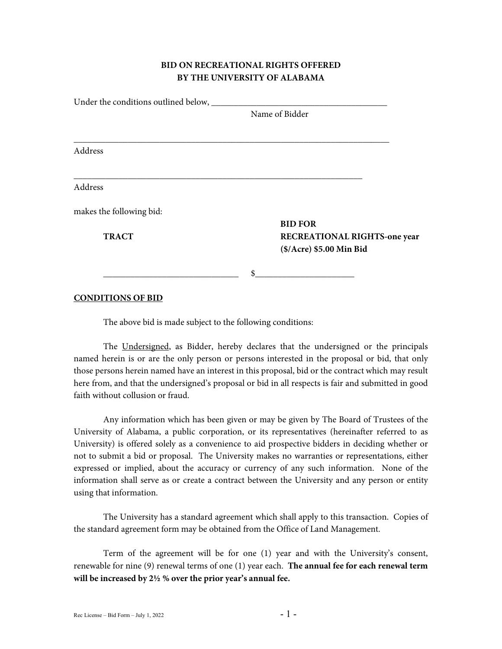## **BID ON RECREATIONAL RIGHTS OFFERED BY THE UNIVERSITY OF ALABAMA**

| Under the conditions outlined below, __ |                                     |
|-----------------------------------------|-------------------------------------|
|                                         | Name of Bidder                      |
|                                         |                                     |
| Address                                 |                                     |
| Address                                 |                                     |
| makes the following bid:                |                                     |
|                                         | <b>BID FOR</b>                      |
| <b>TRACT</b>                            | <b>RECREATIONAL RIGHTS-one year</b> |
|                                         | (\$/Acre) \$5.00 Min Bid            |
|                                         | \$                                  |
|                                         |                                     |

**CONDITIONS OF BID**

The above bid is made subject to the following conditions:

The Undersigned, as Bidder, hereby declares that the undersigned or the principals named herein is or are the only person or persons interested in the proposal or bid, that only those persons herein named have an interest in this proposal, bid or the contract which may result here from, and that the undersigned's proposal or bid in all respects is fair and submitted in good faith without collusion or fraud.

Any information which has been given or may be given by The Board of Trustees of the University of Alabama, a public corporation, or its representatives (hereinafter referred to as University) is offered solely as a convenience to aid prospective bidders in deciding whether or not to submit a bid or proposal. The University makes no warranties or representations, either expressed or implied, about the accuracy or currency of any such information. None of the information shall serve as or create a contract between the University and any person or entity using that information.

The University has a standard agreement which shall apply to this transaction. Copies of the standard agreement form may be obtained from the Office of Land Management.

Term of the agreement will be for one (1) year and with the University's consent, renewable for nine (9) renewal terms of one (1) year each. **The annual fee for each renewal term will be increased by 2½ % over the prior year's annual fee.**